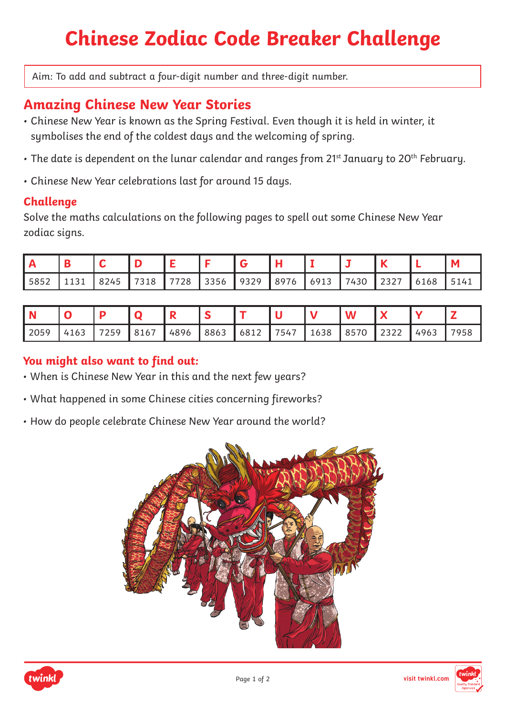# **Chinese Zodiac Code Breaker Challenge**

Aim: To add and subtract a four-digit number and three-digit number.

# **Amazing Chinese New Year Stories**

- Chinese New Year is known as the Spring Festival. Even though it is held in winter, it symbolises the end of the coldest days and the welcoming of spring.
- The date is dependent on the lunar calendar and ranges from 21st January to 20<sup>th</sup> February.
- Chinese New Year celebrations last for around 15 days.

## **Challenge**

Solve the maths calculations on the following pages to spell out some Chinese New Year zodiac signs.

| 5852 | 8245 | 7318 | 7728 | 3356 | 9329 | 8976 | 6913 | 7430 | $\cap$ $\cap$ $\neg$<br>25 Z I | 6168 | 5141 |
|------|------|------|------|------|------|------|------|------|--------------------------------|------|------|

| 2059 | 4163   7259   8167   4896   8863   6812   7547   1638   8570   2322   4963   7958 |  |  |  |  |  |  |
|------|-----------------------------------------------------------------------------------|--|--|--|--|--|--|

## **You might also want to find out:**

- When is Chinese New Year in this and the next few years?
- What happened in some Chinese cities concerning fireworks?
- How do people celebrate Chinese New Year around the world?





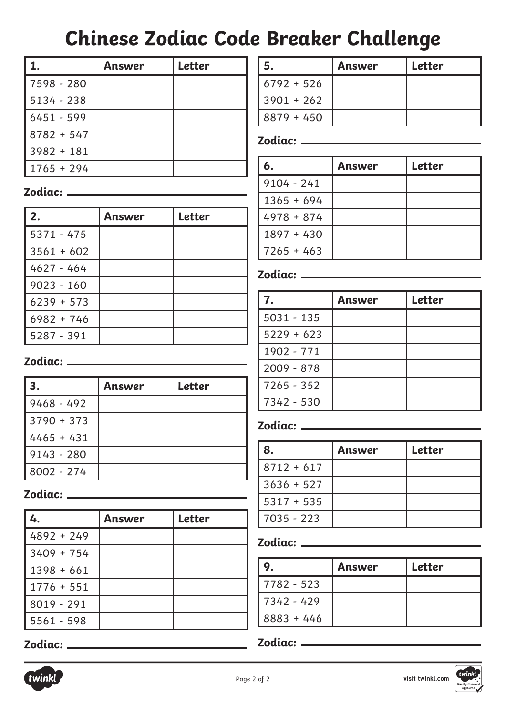# **Chinese Zodiac Code Breaker Challenge**

|              | Answer | <b>Letter</b> |
|--------------|--------|---------------|
| 7598 - 280   |        |               |
| 5134 - 238   |        |               |
| $6451 - 599$ |        |               |
| $8782 + 547$ |        |               |
| $3982 + 181$ |        |               |
| $1765 + 294$ |        |               |

**2. Answer Letter**

**3. Answer Letter**

**4. Answer Letter**

**Zodiac:**

5371 - 475

3561 + 602 4627 - 464

9023 - 160 6239 + 573

6982 + 746

5287 - 391

9468 - 492

3790 + 373 4465 + 431 9143 - 280

8002 - 274

**Zodiac:**

4892 + 249

3409 + 754 1398 + 661

1776 + 551

8019 - 291 5561 - 598

**Zodiac:**

| 5.           | Answer | <b>Letter</b> |
|--------------|--------|---------------|
| $6792 + 526$ |        |               |
| $3901 + 262$ |        |               |
| $8879 + 450$ |        |               |

## **Zodiac:**

| 6.           | Answer | <b>Letter</b> |
|--------------|--------|---------------|
| $9104 - 241$ |        |               |
| $1365 + 694$ |        |               |
| $4978 + 874$ |        |               |
| $1897 + 430$ |        |               |
| $7265 + 463$ |        |               |

#### **Zodiac:**

| 7.           | Answer | <b>Letter</b> |
|--------------|--------|---------------|
| $5031 - 135$ |        |               |
| $5229 + 623$ |        |               |
| 1902 - 771   |        |               |
| $2009 - 878$ |        |               |
| $7265 - 352$ |        |               |
| 7342 - 530   |        |               |

## **Zodiac:**

| 8.           | Answer | <b>Letter</b> |
|--------------|--------|---------------|
| $8712 + 617$ |        |               |
| $3636 + 527$ |        |               |
| $5317 + 535$ |        |               |
| $7035 - 223$ |        |               |

#### **Zodiac:**

|              | Answer | Letter |
|--------------|--------|--------|
| 7782 - 523   |        |        |
| 7342 - 429   |        |        |
| $8883 + 446$ |        |        |

### **Zodiac:**

# **Zodiac:**